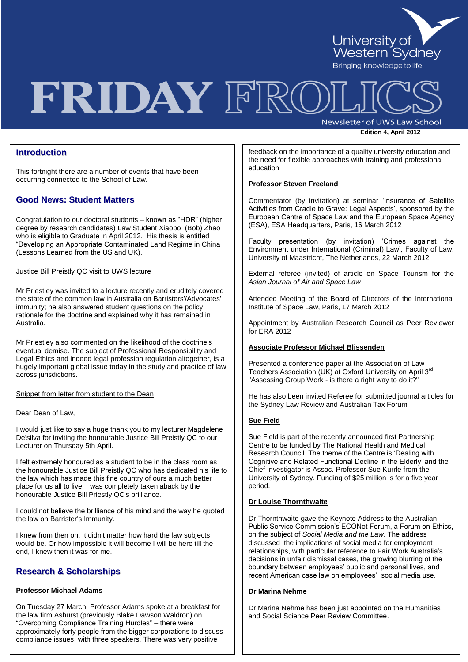

# FRIDAY FRO

Newsletter of UWS Law School

**Edition 4, April 2012** 

# **Introduction**

This fortnight there are a number of events that have been occurring connected to the School of Law.

# **Good News: Student Matters**

Congratulation to our doctoral students – known as "HDR" (higher degree by research candidates) Law Student Xiaobo (Bob) Zhao who is eligible to Graduate in April 2012. His thesis is entitled "Developing an Appropriate Contaminated Land Regime in China (Lessons Learned from the US and UK).

Justice Bill Preistly QC visit to UWS lecture

Mr Priestley was invited to a lecture recently and eruditely covered the state of the common law in Australia on Barristers'/Advocates' immunity; he also answered student questions on the policy rationale for the doctrine and explained why it has remained in Australia.

Mr Priestley also commented on the likelihood of the doctrine's eventual demise. The subject of Professional Responsibility and Legal Ethics and indeed legal profession regulation altogether, is a hugely important global issue today in the study and practice of law across jurisdictions.

Snippet from letter from student to the Dean

Dear Dean of Law,

I would just like to say a huge thank you to my lecturer Magdelene De'silva for inviting the honourable Justice Bill Preistly QC to our Lecturer on Thursday 5th April.

I felt extremely honoured as a student to be in the class room as the honourable Justice Bill Preistly QC who has dedicated his life to the law which has made this fine country of ours a much better place for us all to live. I was completely taken aback by the honourable Justice Bill Priestly QC's brilliance.

I could not believe the brilliance of his mind and the way he quoted the law on Barrister's Immunity.

I knew from then on, It didn't matter how hard the law subjects would be. Or how impossible it will become I will be here till the end, I knew then it was for me.

# **Research & Scholarships**

## **Professor Michael Adams**

On Tuesday 27 March, Professor Adams spoke at a breakfast for the law firm Ashurst (previously Blake Dawson Waldron) on "Overcoming Compliance Training Hurdles" – there were approximately forty people from the bigger corporations to discuss compliance issues, with three speakers. There was very positive

feedback on the importance of a quality university education and the need for flexible approaches with training and professional education

## **Professor Steven Freeland**

Commentator (by invitation) at seminar "Insurance of Satellite Activities from Cradle to Grave: Legal Aspects', sponsored by the European Centre of Space Law and the European Space Agency (ESA), ESA Headquarters, Paris, 16 March 2012

Faculty presentation (by invitation) "Crimes against the Environment under International (Criminal) Law", Faculty of Law, University of Maastricht, The Netherlands, 22 March 2012

External referee (invited) of article on Space Tourism for the *Asian Journal of Air and Space Law*

Attended Meeting of the Board of Directors of the International Institute of Space Law, Paris, 17 March 2012

Appointment by Australian Research Council as Peer Reviewer for ERA 2012

## **Associate Professor Michael Blissenden**

Presented a conference paper at the Association of Law Teachers Association (UK) at Oxford University on April 3rd "Assessing Group Work - is there a right way to do it?"

He has also been invited Referee for submitted journal articles for the Sydney Law Review and Australian Tax Forum

## **Sue Field**

Sue Field is part of the recently announced first Partnership Centre to be funded by The National Health and Medical Research Council. The theme of the Centre is "Dealing with Cognitive and Related Functional Decline in the Elderly" and the Chief Investigator is Assoc. Professor Sue Kurrle from the University of Sydney. Funding of \$25 million is for a five year period.

## **Dr Louise Thornthwaite**

Dr Thornthwaite gave the Keynote Address to the Australian Public Service Commission"s ECONet Forum, a Forum on Ethics, on the subject of *Social Media and the Law*. The address discussed the implications of social media for employment relationships, with particular reference to Fair Work Australia"s decisions in unfair dismissal cases, the growing blurring of the boundary between employees" public and personal lives, and recent American case law on employees' social media use.

## **Dr Marina Nehme**

Dr Marina Nehme has been just appointed on the Humanities and Social Science Peer Review Committee.